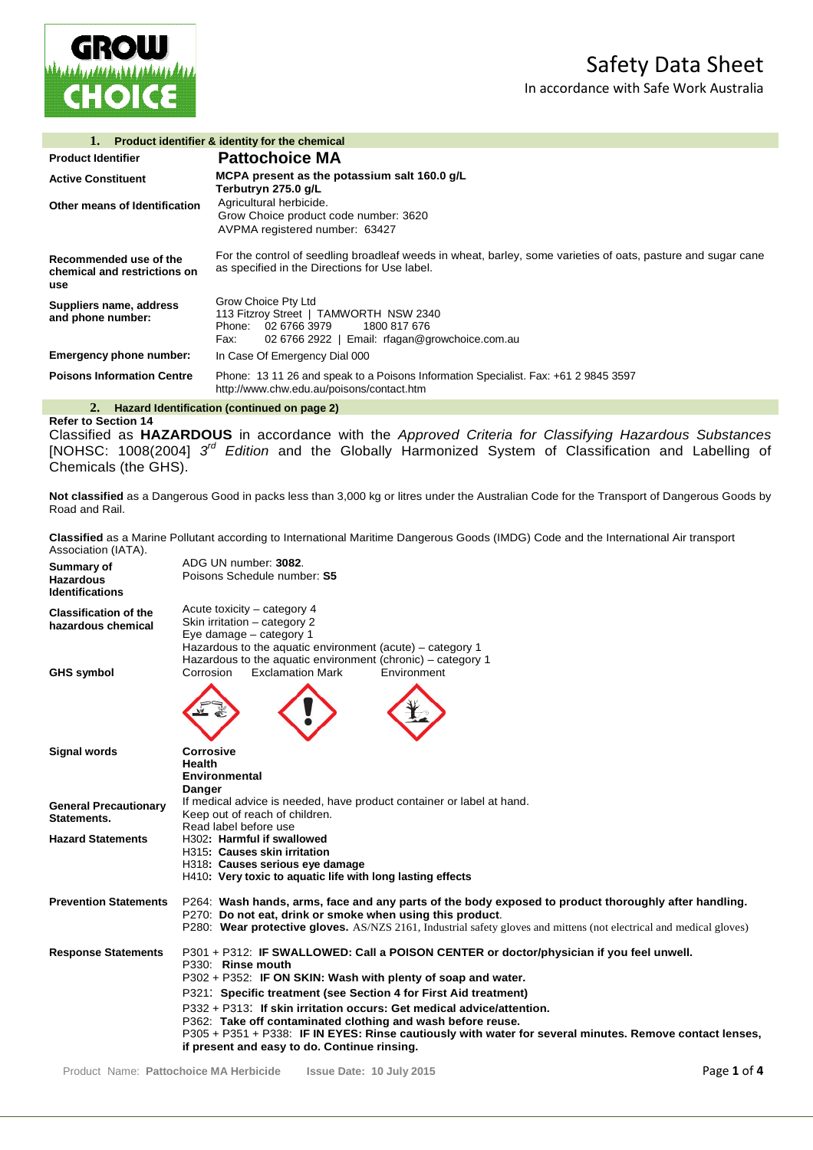In accordance with Safe Work Australia



|                                                               | <b>Product identifier &amp; identity for the chemical</b>                                                                                                      |
|---------------------------------------------------------------|----------------------------------------------------------------------------------------------------------------------------------------------------------------|
| <b>Product Identifier</b>                                     | <b>Pattochoice MA</b>                                                                                                                                          |
| <b>Active Constituent</b>                                     | MCPA present as the potassium salt 160.0 g/L<br>Terbutryn 275.0 g/L                                                                                            |
| Other means of Identification                                 | Agricultural herbicide.<br>Grow Choice product code number: 3620<br>AVPMA registered number: 63427                                                             |
| Recommended use of the<br>chemical and restrictions on<br>use | For the control of seedling broadleaf weeds in wheat, barley, some varieties of oats, pasture and sugar cane<br>as specified in the Directions for Use label.  |
| Suppliers name, address<br>and phone number:                  | Grow Choice Pty Ltd<br>113 Fitzroy Street   TAMWORTH NSW 2340<br>Phone: 02 6766 3979<br>1800 817 676<br>02 6766 2922   Email: rfagan@growchoice.com.au<br>Fax: |
| Emergency phone number:                                       | In Case Of Emergency Dial 000                                                                                                                                  |
| <b>Poisons Information Centre</b>                             | Phone: 13 11 26 and speak to a Poisons Information Specialist. Fax: +61 2 9845 3597<br>http://www.chw.edu.au/poisons/contact.htm                               |

**2. Hazard Identification (continued on page 2) Refer to Section 14**

Classified as **HAZARDOUS** in accordance with the *Approved Criteria for Classifying Hazardous Substances* [NOHSC: 1008(2004] *3rd Edition* and the Globally Harmonized System of Classification and Labelling of Chemicals (the GHS).

**Not classified** as a Dangerous Good in packs less than 3,000 kg or litres under the Australian Code for the Transport of Dangerous Goods by Road and Rail.

**Classified** as a Marine Pollutant according to International Maritime Dangerous Goods (IMDG) Code and the International Air transport Association (IATA).

| Summary of<br><b>Hazardous</b><br><b>Identifications</b> | ADG UN number: 3082.<br>Poisons Schedule number: S5                                                                                                                                                                                                                                                                                                                                                                                                                                                                                                 |
|----------------------------------------------------------|-----------------------------------------------------------------------------------------------------------------------------------------------------------------------------------------------------------------------------------------------------------------------------------------------------------------------------------------------------------------------------------------------------------------------------------------------------------------------------------------------------------------------------------------------------|
| <b>Classification of the</b><br>hazardous chemical       | Acute toxicity – category 4<br>Skin irritation - category 2<br>Eye damage - category 1<br>Hazardous to the aquatic environment (acute) – category 1<br>Hazardous to the aquatic environment (chronic) - category 1                                                                                                                                                                                                                                                                                                                                  |
| <b>GHS symbol</b>                                        | Corrosion<br><b>Exclamation Mark</b><br>Environment                                                                                                                                                                                                                                                                                                                                                                                                                                                                                                 |
| <b>Signal words</b>                                      | <b>Corrosive</b><br><b>Health</b><br><b>Environmental</b><br><b>Danger</b>                                                                                                                                                                                                                                                                                                                                                                                                                                                                          |
| <b>General Precautionary</b><br>Statements.              | If medical advice is needed, have product container or label at hand.<br>Keep out of reach of children.<br>Read label before use                                                                                                                                                                                                                                                                                                                                                                                                                    |
| <b>Hazard Statements</b>                                 | H302: Harmful if swallowed<br>H315: Causes skin irritation<br>H318: Causes serious eye damage<br>H410: Very toxic to aquatic life with long lasting effects                                                                                                                                                                                                                                                                                                                                                                                         |
| <b>Prevention Statements</b>                             | P264: Wash hands, arms, face and any parts of the body exposed to product thoroughly after handling.<br>P270: Do not eat, drink or smoke when using this product.<br>P280: Wear protective gloves. AS/NZS 2161, Industrial safety gloves and mittens (not electrical and medical gloves)                                                                                                                                                                                                                                                            |
| <b>Response Statements</b>                               | P301 + P312: IF SWALLOWED: Call a POISON CENTER or doctor/physician if you feel unwell.<br>P330: Rinse mouth<br>P302 + P352: IF ON SKIN: Wash with plenty of soap and water.<br>P321: Specific treatment (see Section 4 for First Aid treatment)<br>P332 + P313: If skin irritation occurs: Get medical advice/attention.<br>P362: Take off contaminated clothing and wash before reuse.<br>P305 + P351 + P338: IF IN EYES: Rinse cautiously with water for several minutes. Remove contact lenses,<br>if present and easy to do. Continue rinsing. |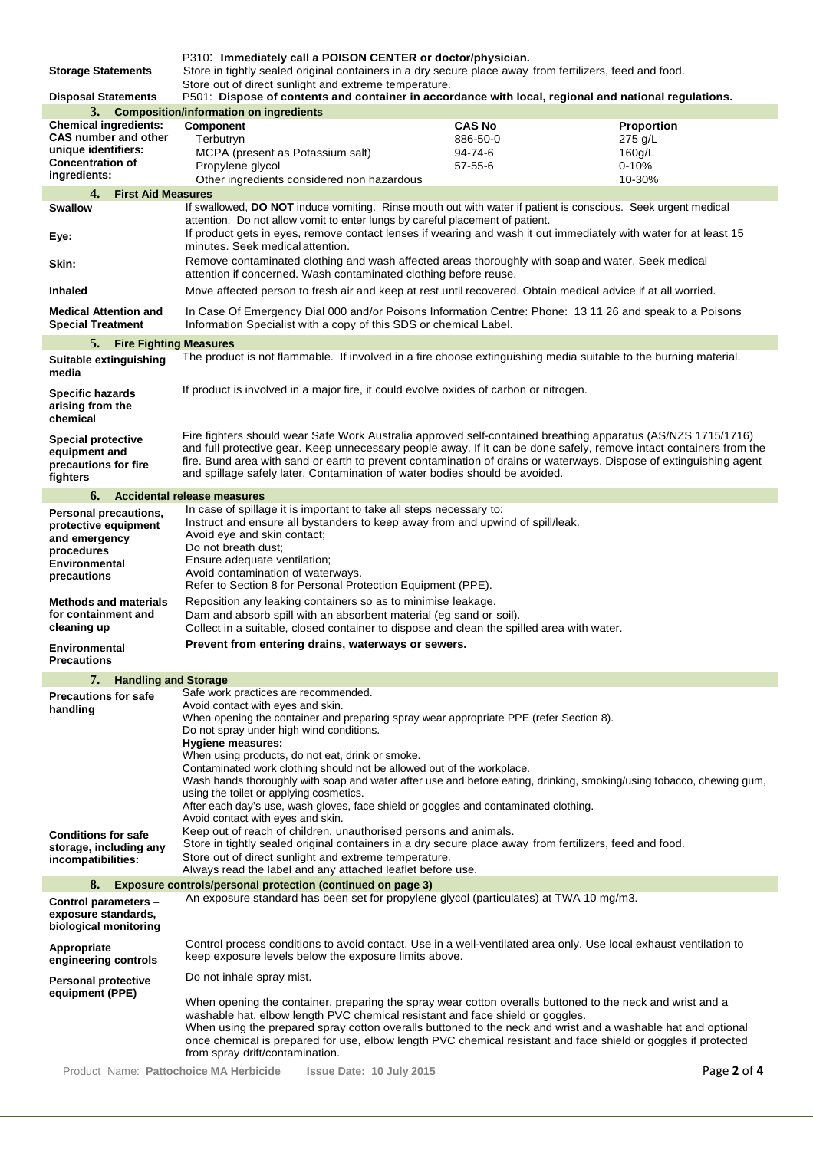P310: **Immediately call a POISON CENTER or doctor/physician.**

**Storage Statements** Store in tightly sealed original containers in a dry secure place away from fertilizers, feed and food. Store out of direct sunlight and extreme temperature.

| <b>Disposal Statements</b>                                                     | oloic out or uncer sumight and extreme temperature.<br>P501: Dispose of contents and container in accordance with local, regional and national regulations.                                                                                                                                                                                                                                                                              |                                                                                                                                                                                  |             |
|--------------------------------------------------------------------------------|------------------------------------------------------------------------------------------------------------------------------------------------------------------------------------------------------------------------------------------------------------------------------------------------------------------------------------------------------------------------------------------------------------------------------------------|----------------------------------------------------------------------------------------------------------------------------------------------------------------------------------|-------------|
|                                                                                | 3. Composition/information on ingredients                                                                                                                                                                                                                                                                                                                                                                                                |                                                                                                                                                                                  |             |
| <b>Chemical ingredients:</b>                                                   | Component                                                                                                                                                                                                                                                                                                                                                                                                                                | <b>CAS No</b>                                                                                                                                                                    | Proportion  |
| <b>CAS number and other</b>                                                    | Terbutryn                                                                                                                                                                                                                                                                                                                                                                                                                                | 886-50-0                                                                                                                                                                         | 275 g/L     |
| unique identifiers:                                                            | MCPA (present as Potassium salt)                                                                                                                                                                                                                                                                                                                                                                                                         | 94-74-6                                                                                                                                                                          | 160g/L      |
| <b>Concentration of</b>                                                        | Propylene glycol                                                                                                                                                                                                                                                                                                                                                                                                                         | $57 - 55 - 6$                                                                                                                                                                    | $0 - 10%$   |
| ingredients:                                                                   | Other ingredients considered non hazardous                                                                                                                                                                                                                                                                                                                                                                                               |                                                                                                                                                                                  | 10-30%      |
| 4.<br><b>First Aid Measures</b>                                                |                                                                                                                                                                                                                                                                                                                                                                                                                                          |                                                                                                                                                                                  |             |
| <b>Swallow</b>                                                                 | If swallowed, DO NOT induce vomiting. Rinse mouth out with water if patient is conscious. Seek urgent medical                                                                                                                                                                                                                                                                                                                            |                                                                                                                                                                                  |             |
|                                                                                | attention. Do not allow vomit to enter lungs by careful placement of patient.                                                                                                                                                                                                                                                                                                                                                            |                                                                                                                                                                                  |             |
| Eye.                                                                           | If product gets in eyes, remove contact lenses if wearing and wash it out immediately with water for at least 15                                                                                                                                                                                                                                                                                                                         |                                                                                                                                                                                  |             |
|                                                                                | minutes. Seek medical attention.                                                                                                                                                                                                                                                                                                                                                                                                         |                                                                                                                                                                                  |             |
| Skin:                                                                          | Remove contaminated clothing and wash affected areas thoroughly with soap and water. Seek medical                                                                                                                                                                                                                                                                                                                                        |                                                                                                                                                                                  |             |
| <b>Inhaled</b>                                                                 |                                                                                                                                                                                                                                                                                                                                                                                                                                          | attention if concerned. Wash contaminated clothing before reuse.<br>Move affected person to fresh air and keep at rest until recovered. Obtain medical advice if at all worried. |             |
| <b>Medical Attention and</b><br><b>Special Treatment</b>                       | In Case Of Emergency Dial 000 and/or Poisons Information Centre: Phone: 13 11 26 and speak to a Poisons<br>Information Specialist with a copy of this SDS or chemical Label.                                                                                                                                                                                                                                                             |                                                                                                                                                                                  |             |
| 5.<br><b>Fire Fighting Measures</b>                                            |                                                                                                                                                                                                                                                                                                                                                                                                                                          |                                                                                                                                                                                  |             |
|                                                                                | The product is not flammable. If involved in a fire choose extinguishing media suitable to the burning material.                                                                                                                                                                                                                                                                                                                         |                                                                                                                                                                                  |             |
| Suitable extinguishing<br>media                                                |                                                                                                                                                                                                                                                                                                                                                                                                                                          |                                                                                                                                                                                  |             |
| <b>Specific hazards</b><br>arising from the<br>chemical                        | If product is involved in a major fire, it could evolve oxides of carbon or nitrogen.                                                                                                                                                                                                                                                                                                                                                    |                                                                                                                                                                                  |             |
| <b>Special protective</b><br>equipment and<br>precautions for fire<br>fighters | Fire fighters should wear Safe Work Australia approved self-contained breathing apparatus (AS/NZS 1715/1716)<br>and full protective gear. Keep unnecessary people away. If it can be done safely, remove intact containers from the<br>fire. Bund area with sand or earth to prevent contamination of drains or waterways. Dispose of extinguishing agent<br>and spillage safely later. Contamination of water bodies should be avoided. |                                                                                                                                                                                  |             |
| 6.                                                                             | <b>Accidental release measures</b>                                                                                                                                                                                                                                                                                                                                                                                                       |                                                                                                                                                                                  |             |
| Personal precautions,<br>protective equipment                                  | In case of spillage it is important to take all steps necessary to:<br>Instruct and ensure all bystanders to keep away from and upwind of spill/leak.                                                                                                                                                                                                                                                                                    |                                                                                                                                                                                  |             |
| and emergency                                                                  | Avoid eye and skin contact;                                                                                                                                                                                                                                                                                                                                                                                                              |                                                                                                                                                                                  |             |
| procedures                                                                     | Do not breath dust;                                                                                                                                                                                                                                                                                                                                                                                                                      |                                                                                                                                                                                  |             |
| <b>Environmental</b>                                                           | Ensure adequate ventilation;                                                                                                                                                                                                                                                                                                                                                                                                             |                                                                                                                                                                                  |             |
| precautions                                                                    | Avoid contamination of waterways.<br>Refer to Section 8 for Personal Protection Equipment (PPE).                                                                                                                                                                                                                                                                                                                                         |                                                                                                                                                                                  |             |
|                                                                                |                                                                                                                                                                                                                                                                                                                                                                                                                                          |                                                                                                                                                                                  |             |
| <b>Methods and materials</b><br>for containment and                            | Reposition any leaking containers so as to minimise leakage.                                                                                                                                                                                                                                                                                                                                                                             |                                                                                                                                                                                  |             |
| cleaning up                                                                    | Dam and absorb spill with an absorbent material (eg sand or soil).<br>Collect in a suitable, closed container to dispose and clean the spilled area with water.                                                                                                                                                                                                                                                                          |                                                                                                                                                                                  |             |
| <b>Environmental</b>                                                           | Prevent from entering drains, waterways or sewers.                                                                                                                                                                                                                                                                                                                                                                                       |                                                                                                                                                                                  |             |
| <b>Precautions</b>                                                             |                                                                                                                                                                                                                                                                                                                                                                                                                                          |                                                                                                                                                                                  |             |
| 7.<br><b>Handling and Storage</b>                                              |                                                                                                                                                                                                                                                                                                                                                                                                                                          |                                                                                                                                                                                  |             |
| <b>Precautions for safe</b>                                                    | Safe work practices are recommended.                                                                                                                                                                                                                                                                                                                                                                                                     |                                                                                                                                                                                  |             |
| handling                                                                       | Avoid contact with eyes and skin.                                                                                                                                                                                                                                                                                                                                                                                                        |                                                                                                                                                                                  |             |
|                                                                                | When opening the container and preparing spray wear appropriate PPE (refer Section 8).                                                                                                                                                                                                                                                                                                                                                   |                                                                                                                                                                                  |             |
|                                                                                | Do not spray under high wind conditions.                                                                                                                                                                                                                                                                                                                                                                                                 |                                                                                                                                                                                  |             |
|                                                                                | <b>Hygiene measures:</b>                                                                                                                                                                                                                                                                                                                                                                                                                 |                                                                                                                                                                                  |             |
|                                                                                | When using products, do not eat, drink or smoke.                                                                                                                                                                                                                                                                                                                                                                                         |                                                                                                                                                                                  |             |
|                                                                                | Contaminated work clothing should not be allowed out of the workplace.                                                                                                                                                                                                                                                                                                                                                                   |                                                                                                                                                                                  |             |
|                                                                                | Wash hands thoroughly with soap and water after use and before eating, drinking, smoking/using tobacco, chewing gum,                                                                                                                                                                                                                                                                                                                     |                                                                                                                                                                                  |             |
|                                                                                | using the toilet or applying cosmetics.<br>After each day's use, wash gloves, face shield or goggles and contaminated clothing.                                                                                                                                                                                                                                                                                                          |                                                                                                                                                                                  |             |
|                                                                                | Avoid contact with eyes and skin.                                                                                                                                                                                                                                                                                                                                                                                                        |                                                                                                                                                                                  |             |
|                                                                                | Keep out of reach of children, unauthorised persons and animals.                                                                                                                                                                                                                                                                                                                                                                         |                                                                                                                                                                                  |             |
| <b>Conditions for safe</b><br>storage, including any                           | Store in tightly sealed original containers in a dry secure place away from fertilizers, feed and food.                                                                                                                                                                                                                                                                                                                                  |                                                                                                                                                                                  |             |
| incompatibilities:                                                             | Store out of direct sunlight and extreme temperature.                                                                                                                                                                                                                                                                                                                                                                                    |                                                                                                                                                                                  |             |
|                                                                                | Always read the label and any attached leaflet before use.                                                                                                                                                                                                                                                                                                                                                                               |                                                                                                                                                                                  |             |
| 8.                                                                             | <b>Exposure controls/personal protection (continued on page 3)</b>                                                                                                                                                                                                                                                                                                                                                                       |                                                                                                                                                                                  |             |
| Control parameters -                                                           | An exposure standard has been set for propylene glycol (particulates) at TWA 10 mg/m3.                                                                                                                                                                                                                                                                                                                                                   |                                                                                                                                                                                  |             |
| exposure standards,                                                            |                                                                                                                                                                                                                                                                                                                                                                                                                                          |                                                                                                                                                                                  |             |
| biological monitoring                                                          |                                                                                                                                                                                                                                                                                                                                                                                                                                          |                                                                                                                                                                                  |             |
| Appropriate                                                                    | Control process conditions to avoid contact. Use in a well-ventilated area only. Use local exhaust ventilation to                                                                                                                                                                                                                                                                                                                        |                                                                                                                                                                                  |             |
| engineering controls                                                           | keep exposure levels below the exposure limits above.                                                                                                                                                                                                                                                                                                                                                                                    |                                                                                                                                                                                  |             |
| <b>Personal protective</b>                                                     | Do not inhale spray mist.                                                                                                                                                                                                                                                                                                                                                                                                                |                                                                                                                                                                                  |             |
| equipment (PPE)                                                                | When opening the container, preparing the spray wear cotton overalls buttoned to the neck and wrist and a                                                                                                                                                                                                                                                                                                                                |                                                                                                                                                                                  |             |
|                                                                                | washable hat, elbow length PVC chemical resistant and face shield or goggles.                                                                                                                                                                                                                                                                                                                                                            |                                                                                                                                                                                  |             |
|                                                                                | When using the prepared spray cotton overalls buttoned to the neck and wrist and a washable hat and optional                                                                                                                                                                                                                                                                                                                             |                                                                                                                                                                                  |             |
|                                                                                | once chemical is prepared for use, elbow length PVC chemical resistant and face shield or goggles if protected                                                                                                                                                                                                                                                                                                                           |                                                                                                                                                                                  |             |
|                                                                                | from spray drift/contamination.                                                                                                                                                                                                                                                                                                                                                                                                          |                                                                                                                                                                                  |             |
| Product Name: Pattochoice MA Herbicide                                         | Issue Date: 10 July 2015                                                                                                                                                                                                                                                                                                                                                                                                                 |                                                                                                                                                                                  | Page 2 of 4 |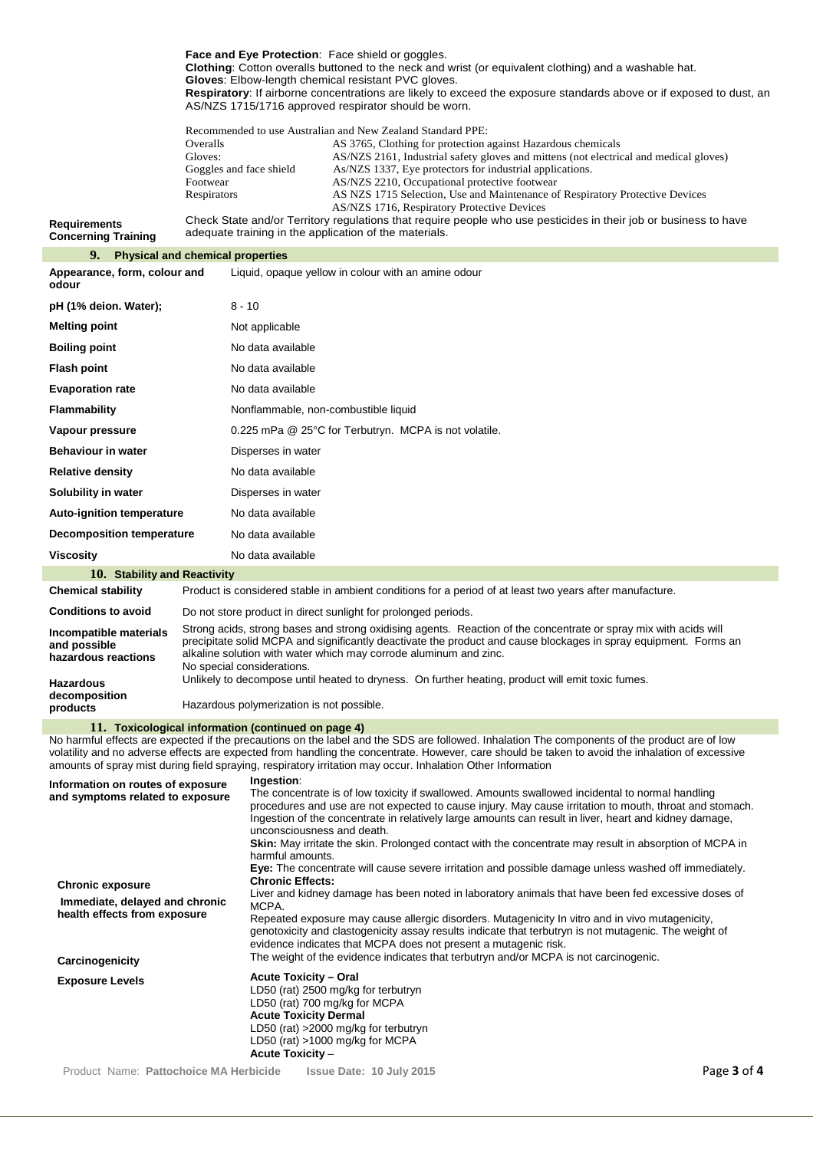**Face and Eye Protection**: Face shield or goggles. **Clothing**: Cotton overalls buttoned to the neck and wrist (or equivalent clothing) and a washable hat. **Gloves**: Elbow-length chemical resistant PVC gloves.

**Respiratory**: If airborne concentrations are likely to exceed the exposure standards above or if exposed to dust, an AS/NZS 1715/1716 approved respirator should be worn.

| Recommended to use Australian and New Zealand Standard PPE: |                                                                                       |
|-------------------------------------------------------------|---------------------------------------------------------------------------------------|
| Overalls                                                    | AS 3765, Clothing for protection against Hazardous chemicals                          |
| Gloves:                                                     | AS/NZS 2161, Industrial safety gloves and mittens (not electrical and medical gloves) |
| Goggles and face shield                                     | As/NZS 1337, Eye protectors for industrial applications.                              |
| Footwear                                                    | AS/NZS 2210, Occupational protective footwear                                         |
| Respirators                                                 | AS NZS 1715 Selection, Use and Maintenance of Respiratory Protective Devices          |
|                                                             | AS/NZS 1716, Respiratory Protective Devices                                           |

**Requirements Concerning Training** Check State and/or Territory regulations that require people who use pesticides in their job or business to have adequate training in the application of the materials.

## **9. Physical and chemical properties**

| Appearance, form, colour and<br>odour | Liquid, opaque yellow in colour with an amine odour   |
|---------------------------------------|-------------------------------------------------------|
| pH (1% deion. Water);                 | $8 - 10$                                              |
| <b>Melting point</b>                  | Not applicable                                        |
| <b>Boiling point</b>                  | No data available                                     |
| <b>Flash point</b>                    | No data available                                     |
| <b>Evaporation rate</b>               | No data available                                     |
| Flammability                          | Nonflammable, non-combustible liquid                  |
| Vapour pressure                       | 0.225 mPa @ 25°C for Terbutryn. MCPA is not volatile. |
| <b>Behaviour in water</b>             | Disperses in water                                    |
| <b>Relative density</b>               | No data available                                     |
| Solubility in water                   | Disperses in water                                    |
| <b>Auto-ignition temperature</b>      | No data available                                     |
| <b>Decomposition temperature</b>      | No data available                                     |
| <b>Viscosity</b>                      | No data available                                     |
| $10 - 24$ and $10 - 24$ and $24 - 24$ |                                                       |

## **10. Stability and Reactivity**

| <b>Chemical stability</b>                                     | Product is considered stable in ambient conditions for a period of at least two years after manufacture.                                                                                                                                                                                                                                |
|---------------------------------------------------------------|-----------------------------------------------------------------------------------------------------------------------------------------------------------------------------------------------------------------------------------------------------------------------------------------------------------------------------------------|
| <b>Conditions to avoid</b>                                    | Do not store product in direct sunlight for prolonged periods.                                                                                                                                                                                                                                                                          |
| Incompatible materials<br>and possible<br>hazardous reactions | Strong acids, strong bases and strong oxidising agents. Reaction of the concentrate or spray mix with acids will<br>precipitate solid MCPA and significantly deactivate the product and cause blockages in spray equipment. Forms an<br>alkaline solution with water which may corrode aluminum and zinc.<br>No special considerations. |
| <b>Hazardous</b><br>decomposition<br>products                 | Unlikely to decompose until heated to dryness. On further heating, product will emit toxic fumes.<br>Hazardous polymerization is not possible.                                                                                                                                                                                          |
|                                                               |                                                                                                                                                                                                                                                                                                                                         |

## **11. Toxicological information (continued on page 4)**

No harmful effects are expected if the precautions on the label and the SDS are followed. Inhalation The components of the product are of low volatility and no adverse effects are expected from handling the concentrate. However, care should be taken to avoid the inhalation of excessive amounts of spray mist during field spraying, respiratory irritation may occur. Inhalation Other Information

| Information on routes of exposure<br>and symptoms related to exposure<br><b>Chronic exposure</b> | Ingestion:<br>The concentrate is of low toxicity if swallowed. Amounts swallowed incidental to normal handling<br>procedures and use are not expected to cause injury. May cause irritation to mouth, throat and stomach.<br>Ingestion of the concentrate in relatively large amounts can result in liver, heart and kidney damage,<br>unconsciousness and death.<br>Skin: May irritate the skin. Prolonged contact with the concentrate may result in absorption of MCPA in<br>harmful amounts.<br>Eye: The concentrate will cause severe irritation and possible damage unless washed off immediately.<br><b>Chronic Effects:</b> |             |
|--------------------------------------------------------------------------------------------------|-------------------------------------------------------------------------------------------------------------------------------------------------------------------------------------------------------------------------------------------------------------------------------------------------------------------------------------------------------------------------------------------------------------------------------------------------------------------------------------------------------------------------------------------------------------------------------------------------------------------------------------|-------------|
| Immediate, delayed and chronic<br>health effects from exposure<br>Carcinogenicity                | Liver and kidney damage has been noted in laboratory animals that have been fed excessive doses of<br>MCPA.<br>Repeated exposure may cause allergic disorders. Mutagenicity In vitro and in vivo mutagenicity,<br>genotoxicity and clastogenicity assay results indicate that terbutryn is not mutagenic. The weight of<br>evidence indicates that MCPA does not present a mutagenic risk.<br>The weight of the evidence indicates that terbutryn and/or MCPA is not carcinogenic.                                                                                                                                                  |             |
| <b>Exposure Levels</b>                                                                           | <b>Acute Toxicity - Oral</b><br>LD50 (rat) 2500 mg/kg for terbutryn<br>LD50 (rat) 700 mg/kg for MCPA<br><b>Acute Toxicity Dermal</b><br>LD50 (rat) >2000 mg/kg for terbutryn<br>LD50 (rat) >1000 mg/kg for MCPA<br>Acute Toxicity $-$                                                                                                                                                                                                                                                                                                                                                                                               |             |
| Product Name: Pattochoice MA Herbicide                                                           | Issue Date: 10 July 2015                                                                                                                                                                                                                                                                                                                                                                                                                                                                                                                                                                                                            | Page 3 of 4 |